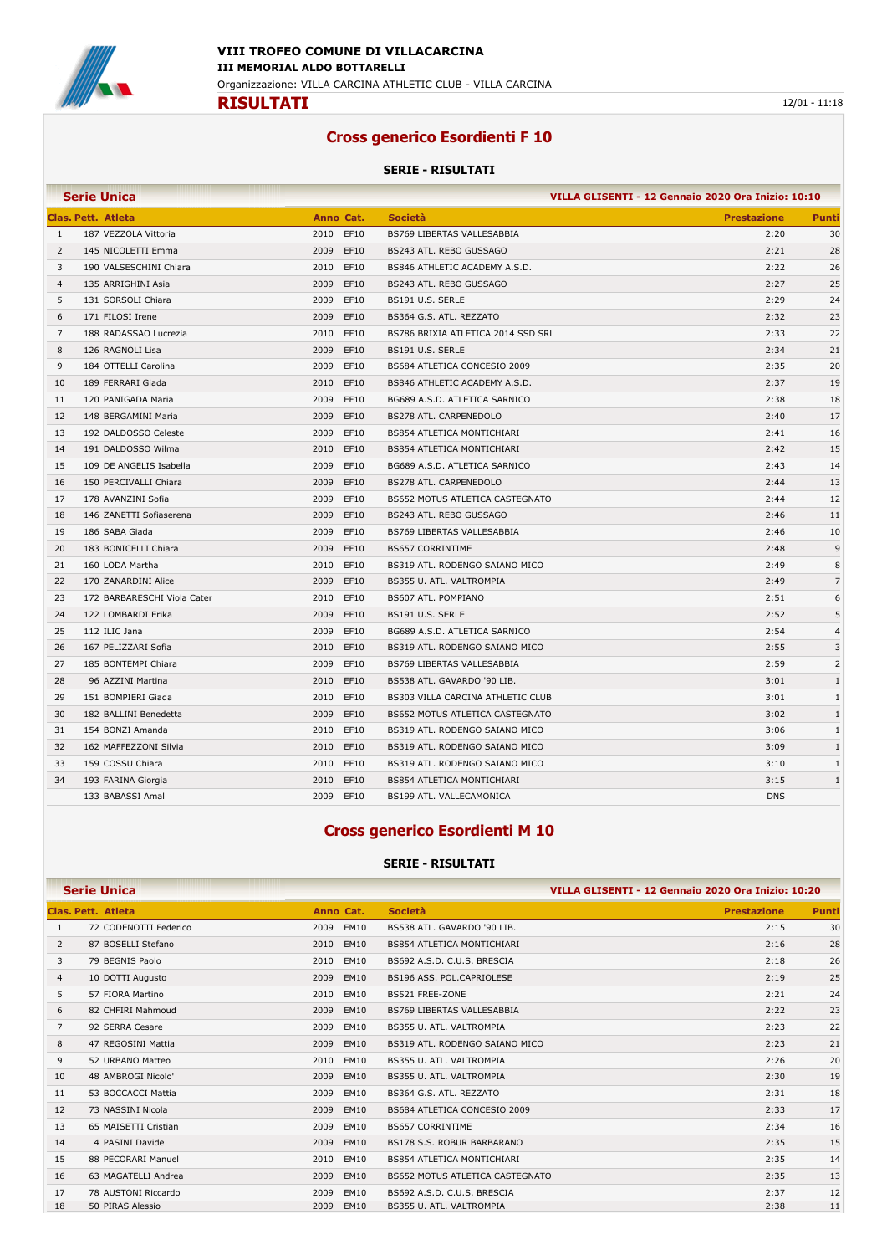

### **Cross generico Esordienti F 10**

#### **SERIE - RISULTATI**

|                | <b>Serie Unica</b>          |              | VILLA GLISENTI - 12 Gennaio 2020 Ora Inizio: 10:10 |                    |                |
|----------------|-----------------------------|--------------|----------------------------------------------------|--------------------|----------------|
|                | <b>Clas. Pett. Atleta</b>   | Anno Cat.    | <b>Società</b>                                     | <b>Prestazione</b> | Punti          |
| 1              | 187 VEZZOLA Vittoria        | 2010<br>EF10 | BS769 LIBERTAS VALLESABBIA                         | 2:20               | 30             |
| $\overline{2}$ | 145 NICOLETTI Emma          | 2009<br>EF10 | BS243 ATL. REBO GUSSAGO                            | 2:21               | 28             |
| 3              | 190 VALSESCHINI Chiara      | 2010<br>EF10 | BS846 ATHLETIC ACADEMY A.S.D.                      | 2:22               | 26             |
| 4              | 135 ARRIGHINI Asia          | 2009<br>EF10 | BS243 ATL. REBO GUSSAGO                            | 2:27               | 25             |
| 5              | 131 SORSOLI Chiara          | 2009<br>EF10 | BS191 U.S. SERLE                                   | 2:29               | 24             |
| 6              | 171 FILOSI Irene            | 2009<br>EF10 | BS364 G.S. ATL. REZZATO                            | 2:32               | 23             |
| $\overline{7}$ | 188 RADASSAO Lucrezia       | 2010<br>EF10 | BS786 BRIXIA ATLETICA 2014 SSD SRL                 | 2:33               | 22             |
| 8              | 126 RAGNOLI Lisa            | 2009<br>EF10 | BS191 U.S. SERLE                                   | 2:34               | 21             |
| 9              | 184 OTTELLI Carolina        | 2009<br>EF10 | BS684 ATLETICA CONCESIO 2009                       | 2:35               | 20             |
| 10             | 189 FERRARI Giada           | 2010<br>EF10 | BS846 ATHLETIC ACADEMY A.S.D.                      | 2:37               | 19             |
| 11             | 120 PANIGADA Maria          | 2009<br>EF10 | BG689 A.S.D. ATLETICA SARNICO                      | 2:38               | 18             |
| 12             | 148 BERGAMINI Maria         | 2009<br>EF10 | BS278 ATL. CARPENEDOLO                             | 2:40               | 17             |
| 13             | 192 DALDOSSO Celeste        | 2009<br>EF10 | <b>BS854 ATLETICA MONTICHIARI</b>                  | 2:41               | 16             |
| 14             | 191 DALDOSSO Wilma          | 2010<br>EF10 | <b>BS854 ATLETICA MONTICHIARI</b>                  | 2:42               | 15             |
| 15             | 109 DE ANGELIS Isabella     | 2009<br>EF10 | BG689 A.S.D. ATLETICA SARNICO                      | 2:43               | 14             |
| 16             | 150 PERCIVALLI Chiara       | 2009<br>EF10 | <b>BS278 ATL, CARPENEDOLO</b>                      | 2:44               | 13             |
| 17             | 178 AVANZINI Sofia          | 2009<br>EF10 | BS652 MOTUS ATLETICA CASTEGNATO                    | 2:44               | 12             |
| 18             | 146 ZANETTI Sofiaserena     | 2009<br>EF10 | BS243 ATL. REBO GUSSAGO                            | 2:46               | 11             |
| 19             | 186 SABA Giada              | 2009<br>EF10 | BS769 LIBERTAS VALLESABBIA                         | 2:46               | 10             |
| 20             | 183 BONICELLI Chiara        | 2009<br>EF10 | <b>BS657 CORRINTIME</b>                            | 2:48               | 9              |
| 21             | 160 LODA Martha             | 2010<br>EF10 | BS319 ATL. RODENGO SAIANO MICO                     | 2:49               | 8              |
| 22             | 170 ZANARDINI Alice         | 2009<br>EF10 | BS355 U. ATL. VALTROMPIA                           | 2:49               | $\overline{7}$ |
| 23             | 172 BARBARESCHI Viola Cater | 2010<br>EF10 | BS607 ATL. POMPIANO                                | 2:51               | 6              |
| 24             | 122 LOMBARDI Erika          | EF10<br>2009 | BS191 U.S. SERLE                                   | 2:52               | 5              |
| 25             | 112 ILIC Jana               | 2009<br>EF10 | BG689 A.S.D. ATLETICA SARNICO                      | 2:54               | $\overline{4}$ |
| 26             | 167 PELIZZARI Sofia         | 2010<br>EF10 | BS319 ATL. RODENGO SAIANO MICO                     | 2:55               | 3              |
| 27             | 185 BONTEMPI Chiara         | 2009<br>EF10 | BS769 LIBERTAS VALLESABBIA                         | 2:59               | $\overline{2}$ |
| 28             | 96 AZZINI Martina           | 2010<br>EF10 | BS538 ATL. GAVARDO '90 LIB.                        | 3:01               | $\mathbf{1}$   |
| 29             | 151 BOMPIERI Giada          | EF10<br>2010 | BS303 VILLA CARCINA ATHLETIC CLUB                  | 3:01               | $\mathbf{1}$   |
| 30             | 182 BALLINI Benedetta       | 2009<br>EF10 | BS652 MOTUS ATLETICA CASTEGNATO                    | 3:02               | $\mathbf{1}$   |
| 31             | 154 BONZI Amanda            | 2010<br>EF10 | BS319 ATL. RODENGO SAIANO MICO                     | 3:06               | $\mathbf{1}$   |
| 32             | 162 MAFFEZZONI Silvia       | 2010<br>EF10 | BS319 ATL. RODENGO SAIANO MICO                     | 3:09               | $\mathbf{1}$   |
| 33             | 159 COSSU Chiara            | 2010<br>EF10 | BS319 ATL. RODENGO SAIANO MICO                     | 3:10               | $\mathbf{1}$   |
| 34             | 193 FARINA Giorgia          | 2010<br>EF10 | <b>BS854 ATLETICA MONTICHIARI</b>                  | 3:15               | $\mathbf{1}$   |
|                | 133 BABASSI Amal            | 2009<br>EF10 | BS199 ATL. VALLECAMONICA                           | <b>DNS</b>         |                |

### **Cross generico Esordienti M 10**

| <b>Serie Unica</b> |                       |                     |                                   | VILLA GLISENTI - 12 Gennaio 2020 Ora Inizio: 10:20 |              |
|--------------------|-----------------------|---------------------|-----------------------------------|----------------------------------------------------|--------------|
|                    | Clas. Pett. Atleta    | Anno Cat.           | <b>Società</b>                    | <b>Prestazione</b>                                 | <b>Punti</b> |
| 1                  | 72 CODENOTTI Federico | EM10<br>2009        | BS538 ATL. GAVARDO '90 LIB.       | 2:15                                               | 30           |
| 2                  | 87 BOSELLI Stefano    | EM10<br>2010        | <b>BS854 ATLETICA MONTICHIARI</b> | 2:16                                               | 28           |
| 3                  | 79 BEGNIS Paolo       | EM10<br>2010        | BS692 A.S.D. C.U.S. BRESCIA       | 2:18                                               | 26           |
| 4                  | 10 DOTTI Augusto      | 2009<br>EM10        | BS196 ASS. POL.CAPRIOLESE         | 2:19                                               | 25           |
| 5                  | 57 FIORA Martino      | EM10<br>2010        | <b>BS521 FREE-ZONE</b>            | 2:21                                               | 24           |
| 6                  | 82 CHFIRI Mahmoud     | 2009<br>EM10        | <b>BS769 LIBERTAS VALLESABBIA</b> | 2:22                                               | 23           |
| 7                  | 92 SERRA Cesare       | 2009<br>EM10        | BS355 U. ATL. VALTROMPIA          | 2:23                                               | 22           |
| 8                  | 47 REGOSINI Mattia    | 2009<br>EM10        | BS319 ATL. RODENGO SAIANO MICO    | 2:23                                               | 21           |
| 9                  | 52 URBANO Matteo      | EM10<br>2010        | BS355 U. ATL. VALTROMPIA          | 2:26                                               | 20           |
| 10                 | 48 AMBROGI Nicolo'    | EM10<br>2009        | BS355 U. ATL. VALTROMPIA          | 2:30                                               | 19           |
| 11                 | 53 BOCCACCI Mattia    | 2009<br>EM10        | BS364 G.S. ATL. REZZATO           | 2:31                                               | 18           |
| 12                 | 73 NASSINI Nicola     | 2009<br>EM10        | BS684 ATLETICA CONCESIO 2009      | 2:33                                               | 17           |
| 13                 | 65 MAISETTI Cristian  | 2009<br>EM10        | <b>BS657 CORRINTIME</b>           | 2:34                                               | 16           |
| 14                 | 4 PASINI Davide       | 2009<br>EM10        | <b>BS178 S.S. ROBUR BARBARANO</b> | 2:35                                               | 15           |
| 15                 | 88 PECORARI Manuel    | 2010<br>EM10        | <b>BS854 ATLETICA MONTICHIARI</b> | 2:35                                               | 14           |
| 16                 | 63 MAGATELLI Andrea   | 2009<br>EM10        | BS652 MOTUS ATLETICA CASTEGNATO   | 2:35                                               | 13           |
| 17                 | 78 AUSTONI Riccardo   | EM10<br>2009        | BS692 A.S.D. C.U.S. BRESCIA       | 2:37                                               | 12           |
| 18                 | 50 PIRAS Alessio      | 2009<br><b>EM10</b> | BS355 U. ATL. VALTROMPIA          | 2:38                                               | 11           |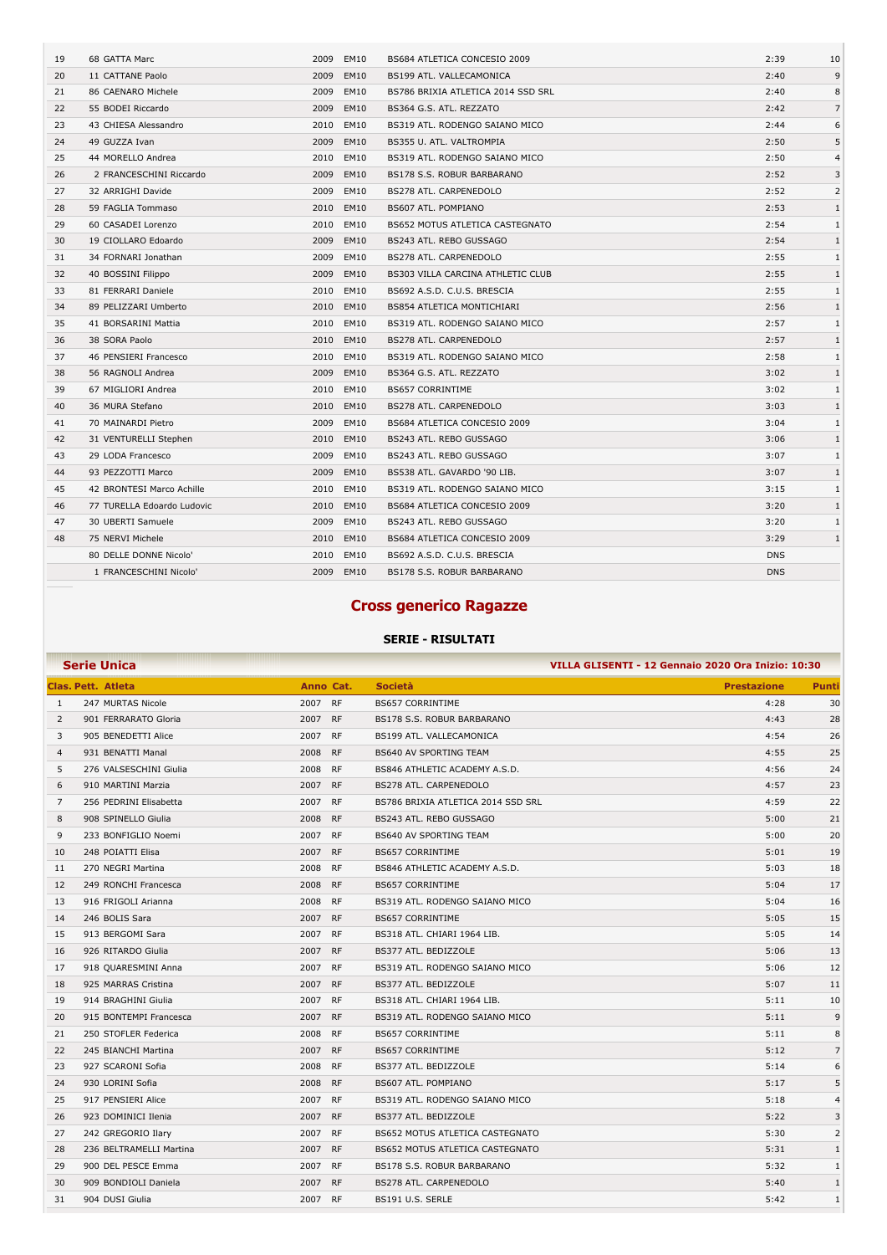| 19 | 68 GATTA Marc              | 2009 | EM10        | BS684 ATLETICA CONCESIO 2009           | 2:39       | 10             |
|----|----------------------------|------|-------------|----------------------------------------|------------|----------------|
| 20 | 11 CATTANE Paolo           | 2009 | <b>EM10</b> | BS199 ATL. VALLECAMONICA               | 2:40       | 9              |
| 21 | 86 CAENARO Michele         | 2009 | EM10        | BS786 BRIXIA ATLETICA 2014 SSD SRL     | 2:40       | 8              |
| 22 | 55 BODEI Riccardo          | 2009 | <b>EM10</b> | BS364 G.S. ATL. REZZATO                | 2:42       | $\overline{7}$ |
| 23 | 43 CHIESA Alessandro       | 2010 | <b>EM10</b> | BS319 ATL, RODENGO SAIANO MICO         | 2:44       | 6              |
| 24 | 49 GUZZA Ivan              | 2009 | EM10        | BS355 U. ATL. VALTROMPIA               | 2:50       | 5              |
| 25 | 44 MORELLO Andrea          | 2010 | EM10        | BS319 ATL. RODENGO SAIANO MICO         | 2:50       | $\overline{4}$ |
| 26 | 2 FRANCESCHINI Riccardo    | 2009 | <b>EM10</b> | BS178 S.S. ROBUR BARBARANO             | 2:52       | 3              |
| 27 | 32 ARRIGHI Davide          | 2009 | EM10        | BS278 ATL. CARPENEDOLO                 | 2:52       | $\overline{2}$ |
| 28 | 59 FAGLIA Tommaso          | 2010 | <b>EM10</b> | BS607 ATL. POMPIANO                    | 2:53       | $\mathbf{1}$   |
| 29 | 60 CASADEI Lorenzo         | 2010 | <b>EM10</b> | <b>BS652 MOTUS ATLETICA CASTEGNATO</b> | 2:54       | $\mathbf{1}$   |
| 30 | 19 CIOLLARO Edoardo        | 2009 | <b>EM10</b> | BS243 ATL. REBO GUSSAGO                | 2:54       | $\mathbf{1}$   |
| 31 | 34 FORNARI Jonathan        | 2009 | EM10        | BS278 ATL. CARPENEDOLO                 | 2:55       | $\mathbf{1}$   |
| 32 | 40 BOSSINI Filippo         | 2009 | EM10        | BS303 VILLA CARCINA ATHLETIC CLUB      | 2:55       | $\mathbf{1}$   |
| 33 | 81 FERRARI Daniele         | 2010 | EM10        | BS692 A.S.D. C.U.S. BRESCIA            | 2:55       | 1              |
| 34 | 89 PELIZZARI Umberto       | 2010 | <b>EM10</b> | BS854 ATLETICA MONTICHIARI             | 2:56       | $\mathbf{1}$   |
| 35 | 41 BORSARINI Mattia        | 2010 | <b>EM10</b> | BS319 ATL. RODENGO SAIANO MICO         | 2:57       | 1              |
| 36 | 38 SORA Paolo              | 2010 | <b>EM10</b> | BS278 ATL. CARPENEDOLO                 | 2:57       | $\mathbf{1}$   |
| 37 | 46 PENSIERI Francesco      | 2010 | EM10        | BS319 ATL. RODENGO SAIANO MICO         | 2:58       | $\mathbf{1}$   |
| 38 | 56 RAGNOLI Andrea          | 2009 | EM10        | BS364 G.S. ATL. REZZATO                | 3:02       | 1              |
| 39 | 67 MIGLIORI Andrea         | 2010 | EM10        | <b>BS657 CORRINTIME</b>                | 3:02       | $\mathbf{1}$   |
| 40 | 36 MURA Stefano            | 2010 | <b>EM10</b> | <b>BS278 ATL, CARPENEDOLO</b>          | 3:03       | $\mathbf{1}$   |
| 41 | 70 MAINARDI Pietro         | 2009 | EM10        | BS684 ATLETICA CONCESIO 2009           | 3:04       | 1              |
| 42 | 31 VENTURELLI Stephen      | 2010 | EM10        | BS243 ATL. REBO GUSSAGO                | 3:06       | $\mathbf{1}$   |
| 43 | 29 LODA Francesco          | 2009 | EM10        | BS243 ATL. REBO GUSSAGO                | 3:07       | $\mathbf{1}$   |
| 44 | 93 PEZZOTTI Marco          | 2009 | <b>EM10</b> | BS538 ATL. GAVARDO '90 LIB.            | 3:07       | 1              |
| 45 | 42 BRONTESI Marco Achille  | 2010 | EM10        | BS319 ATL. RODENGO SAIANO MICO         | 3:15       | 1              |
| 46 | 77 TURELLA Edoardo Ludovic | 2010 | <b>EM10</b> | BS684 ATLETICA CONCESIO 2009           | 3:20       | $\mathbf{1}$   |
| 47 | 30 UBERTI Samuele          | 2009 | <b>EM10</b> | BS243 ATL. REBO GUSSAGO                | 3:20       | 1              |
| 48 | 75 NERVI Michele           | 2010 | <b>EM10</b> | BS684 ATLETICA CONCESIO 2009           | 3:29       | $\mathbf{1}$   |
|    | 80 DELLE DONNE Nicolo'     | 2010 | EM10        | BS692 A.S.D. C.U.S. BRESCIA            | <b>DNS</b> |                |
|    | 1 FRANCESCHINI Nicolo'     | 2009 | <b>EM10</b> | <b>BS178 S.S. ROBUR BARBARANO</b>      | <b>DNS</b> |                |

## **Cross generico Ragazze**

|                | <b>Serie Unica</b><br>VILLA GLISENTI - 12 Gennaio 2020 Ora Inizio: 10:30 |           |           |                                    |                    |                |  |
|----------------|--------------------------------------------------------------------------|-----------|-----------|------------------------------------|--------------------|----------------|--|
|                | <b>Clas. Pett. Atleta</b>                                                | Anno Cat. |           | <b>Società</b>                     | <b>Prestazione</b> | Punti          |  |
| -1             | 247 MURTAS Nicole                                                        | 2007 RF   |           | <b>BS657 CORRINTIME</b>            | 4:28               | 30             |  |
| 2              | 901 FERRARATO Gloria                                                     | 2007 RF   |           | BS178 S.S. ROBUR BARBARANO         | 4:43               | 28             |  |
| 3              | 905 BENEDETTI Alice                                                      | 2007      | <b>RF</b> | BS199 ATL. VALLECAMONICA           | 4:54               | 26             |  |
| $\overline{4}$ | 931 BENATTI Manal                                                        | 2008      | <b>RF</b> | <b>BS640 AV SPORTING TEAM</b>      | 4:55               | 25             |  |
| 5              | 276 VALSESCHINI Giulia                                                   | 2008      | <b>RF</b> | BS846 ATHLETIC ACADEMY A.S.D.      | 4:56               | 24             |  |
| 6              | 910 MARTINI Marzia                                                       | 2007      | <b>RF</b> | <b>BS278 ATL, CARPENEDOLO</b>      | 4:57               | 23             |  |
| 7              | 256 PEDRINI Elisabetta                                                   | 2007      | <b>RF</b> | BS786 BRIXIA ATLETICA 2014 SSD SRL | 4:59               | 22             |  |
| 8              | 908 SPINELLO Giulia                                                      | 2008      | <b>RF</b> | BS243 ATL. REBO GUSSAGO            | 5:00               | 21             |  |
| 9              | 233 BONFIGLIO Noemi                                                      | 2007      | <b>RF</b> | <b>BS640 AV SPORTING TEAM</b>      | 5:00               | 20             |  |
| 10             | 248 POIATTI Elisa                                                        | 2007      | <b>RF</b> | <b>BS657 CORRINTIME</b>            | 5:01               | 19             |  |
| 11             | 270 NEGRI Martina                                                        | 2008      | <b>RF</b> | BS846 ATHLETIC ACADEMY A.S.D.      | 5:03               | 18             |  |
| 12             | 249 RONCHI Francesca                                                     | 2008      | <b>RF</b> | <b>BS657 CORRINTIME</b>            | 5:04               | 17             |  |
| 13             | 916 FRIGOLI Arianna                                                      | 2008      | <b>RF</b> | BS319 ATL. RODENGO SAIANO MICO     | 5:04               | 16             |  |
| 14             | 246 BOLIS Sara                                                           | 2007      | <b>RF</b> | <b>BS657 CORRINTIME</b>            | 5:05               | 15             |  |
| 15             | 913 BERGOMI Sara                                                         | 2007      | <b>RF</b> | BS318 ATL. CHIARI 1964 LIB.        | 5:05               | 14             |  |
| 16             | 926 RITARDO Giulia                                                       | 2007 RF   |           | BS377 ATL. BEDIZZOLE               | 5:06               | 13             |  |
| 17             | 918 QUARESMINI Anna                                                      | 2007      | <b>RF</b> | BS319 ATL. RODENGO SAIANO MICO     | 5:06               | 12             |  |
| 18             | 925 MARRAS Cristina                                                      | 2007      | <b>RF</b> | BS377 ATL. BEDIZZOLE               | 5:07               | 11             |  |
| 19             | 914 BRAGHINI Giulia                                                      | 2007      | <b>RF</b> | BS318 ATL. CHIARI 1964 LIB.        | 5:11               | 10             |  |
| 20             | 915 BONTEMPI Francesca                                                   | 2007      | <b>RF</b> | BS319 ATL. RODENGO SAIANO MICO     | 5:11               | 9              |  |
| 21             | 250 STOFLER Federica                                                     | 2008      | <b>RF</b> | <b>BS657 CORRINTIME</b>            | 5:11               | 8              |  |
| 22             | 245 BIANCHI Martina                                                      | 2007      | <b>RF</b> | <b>BS657 CORRINTIME</b>            | 5:12               | $\overline{7}$ |  |
| 23             | 927 SCARONI Sofia                                                        | 2008      | <b>RF</b> | BS377 ATL, BEDIZZOLE               | 5:14               | 6              |  |
| 24             | 930 LORINI Sofia                                                         | 2008      | <b>RF</b> | BS607 ATL. POMPIANO                | 5:17               | 5              |  |
| 25             | 917 PENSIERI Alice                                                       | 2007 RF   |           | BS319 ATL, RODENGO SAIANO MICO     | 5:18               | $\overline{4}$ |  |
| 26             | 923 DOMINICI Ilenia                                                      | 2007      | <b>RF</b> | BS377 ATL. BEDIZZOLE               | 5:22               | 3              |  |
| 27             | 242 GREGORIO Ilary                                                       | 2007      | <b>RF</b> | BS652 MOTUS ATLETICA CASTEGNATO    | 5:30               | 2              |  |
| 28             | 236 BELTRAMELLI Martina                                                  | 2007      | <b>RF</b> | BS652 MOTUS ATLETICA CASTEGNATO    | 5:31               | $\mathbf{1}$   |  |
| 29             | 900 DEL PESCE Emma                                                       | 2007 RF   |           | BS178 S.S. ROBUR BARBARANO         | 5:32               | $\mathbf{1}$   |  |
| 30             | 909 BONDIOLI Daniela                                                     | 2007      | <b>RF</b> | BS278 ATL. CARPENEDOLO             | 5:40               | $\mathbf{1}$   |  |
| 31             | 904 DUSI Giulia                                                          | 2007      | <b>RF</b> | BS191 U.S. SERLE                   | 5:42               | $\mathbf{1}$   |  |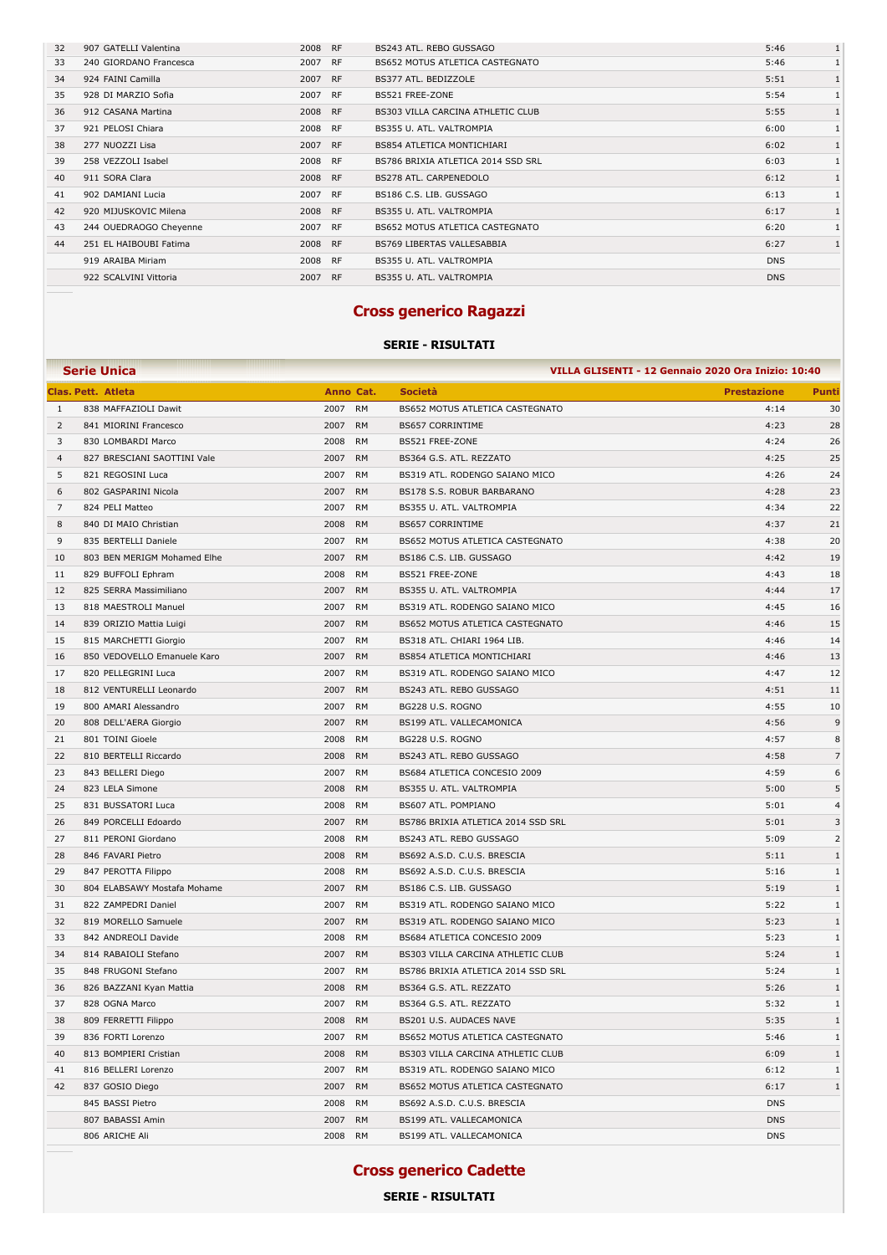| 32 | 907 GATELLI Valentina  | 2008 | <b>RF</b> | BS243 ATL. REBO GUSSAGO            | 5:46       | $\mathbf{1}$ |
|----|------------------------|------|-----------|------------------------------------|------------|--------------|
| 33 | 240 GIORDANO Francesca | 2007 | <b>RF</b> | BS652 MOTUS ATLETICA CASTEGNATO    | 5:46       | $\mathbf{1}$ |
| 34 | 924 FAINI Camilla      | 2007 | <b>RF</b> | BS377 ATL. BEDIZZOLE               | 5:51       |              |
| 35 | 928 DI MARZIO Sofia    | 2007 | <b>RF</b> | BS521 FREE-ZONE                    | 5:54       |              |
| 36 | 912 CASANA Martina     | 2008 | <b>RF</b> | BS303 VILLA CARCINA ATHLETIC CLUB  | 5:55       |              |
| 37 | 921 PELOSI Chiara      | 2008 | <b>RF</b> | BS355 U. ATL. VALTROMPIA           | 6:00       |              |
| 38 | 277 NUOZZI Lisa        | 2007 | <b>RF</b> | <b>BS854 ATLETICA MONTICHIARI</b>  | 6:02       |              |
| 39 | 258 VEZZOLI Isabel     | 2008 | <b>RF</b> | BS786 BRIXIA ATLETICA 2014 SSD SRL | 6:03       |              |
| 40 | 911 SORA Clara         | 2008 | <b>RF</b> | <b>BS278 ATL. CARPENEDOLO</b>      | 6:12       |              |
| 41 | 902 DAMIANI Lucia      | 2007 | <b>RF</b> | BS186 C.S. LIB. GUSSAGO            | 6:13       |              |
| 42 | 920 MIJUSKOVIC Milena  | 2008 | <b>RF</b> | BS355 U. ATL. VALTROMPIA           | 6:17       |              |
| 43 | 244 OUEDRAOGO Cheyenne | 2007 | <b>RF</b> | BS652 MOTUS ATLETICA CASTEGNATO    | 6:20       |              |
| 44 | 251 EL HAIBOUBI Fatima | 2008 | <b>RF</b> | <b>BS769 LIBERTAS VALLESABBIA</b>  | 6:27       |              |
|    | 919 ARAIBA Miriam      | 2008 | <b>RF</b> | BS355 U. ATL. VALTROMPIA           | <b>DNS</b> |              |
|    | 922 SCALVINI Vittoria  | 2007 | <b>RF</b> | BS355 U. ATL. VALTROMPIA           | <b>DNS</b> |              |
|    |                        |      |           |                                    |            |              |

### **Cross generico Ragazzi**

### **SERIE - RISULTATI**

|                | <b>Serie Unica</b>          |                   |                                    | VILLA GLISENTI - 12 Gennaio 2020 Ora Inizio: 10:40 |                  |
|----------------|-----------------------------|-------------------|------------------------------------|----------------------------------------------------|------------------|
|                | <b>Clas. Pett. Atleta</b>   | Anno Cat.         | <b>Società</b>                     | <b>Prestazione</b>                                 | <b>Punti</b>     |
| $\mathbf{1}$   | 838 MAFFAZIOLI Dawit        | 2007<br><b>RM</b> | BS652 MOTUS ATLETICA CASTEGNATO    | 4:14                                               | 30               |
| $\overline{2}$ | 841 MIORINI Francesco       | 2007<br><b>RM</b> | <b>BS657 CORRINTIME</b>            | 4:23                                               | 28               |
| 3              | 830 LOMBARDI Marco          | 2008<br><b>RM</b> | BS521 FREE-ZONE                    | 4:24                                               | 26               |
| $\overline{4}$ | 827 BRESCIANI SAOTTINI Vale | 2007<br><b>RM</b> | BS364 G.S. ATL. REZZATO            | 4:25                                               | 25               |
| 5              | 821 REGOSINI Luca           | 2007<br><b>RM</b> | BS319 ATL. RODENGO SAIANO MICO     | 4:26                                               | 24               |
| 6              | 802 GASPARINI Nicola        | 2007<br><b>RM</b> | BS178 S.S. ROBUR BARBARANO         | 4:28                                               | 23               |
| 7              | 824 PELI Matteo             | 2007<br><b>RM</b> | BS355 U. ATL. VALTROMPIA           | 4:34                                               | 22               |
| 8              | 840 DI MAIO Christian       | 2008<br><b>RM</b> | <b>BS657 CORRINTIME</b>            | 4:37                                               | 21               |
| 9              | 835 BERTELLI Daniele        | <b>RM</b><br>2007 | BS652 MOTUS ATLETICA CASTEGNATO    | 4:38                                               | 20               |
| 10             | 803 BEN MERIGM Mohamed Elhe | 2007<br><b>RM</b> | BS186 C.S. LIB. GUSSAGO            | 4:42                                               | 19               |
| 11             | 829 BUFFOLI Ephram          | 2008<br><b>RM</b> | BS521 FREE-ZONE                    | 4:43                                               | 18               |
| 12             | 825 SERRA Massimiliano      | 2007<br><b>RM</b> | BS355 U. ATL. VALTROMPIA           | 4:44                                               | 17               |
| 13             | 818 MAESTROLI Manuel        | 2007<br><b>RM</b> | BS319 ATL. RODENGO SAIANO MICO     | 4:45                                               | 16               |
| 14             | 839 ORIZIO Mattia Luigi     | 2007<br><b>RM</b> | BS652 MOTUS ATLETICA CASTEGNATO    | 4:46                                               | 15               |
| 15             | 815 MARCHETTI Giorgio       | <b>RM</b><br>2007 | BS318 ATL. CHIARI 1964 LIB.        | 4:46                                               | 14               |
| 16             | 850 VEDOVELLO Emanuele Karo | 2007<br><b>RM</b> | <b>BS854 ATLETICA MONTICHIARI</b>  | 4:46                                               | 13               |
| 17             | 820 PELLEGRINI Luca         | 2007<br><b>RM</b> | BS319 ATL. RODENGO SAIANO MICO     | 4:47                                               | 12               |
| 18             | 812 VENTURELLI Leonardo     | 2007<br><b>RM</b> | BS243 ATL. REBO GUSSAGO            | 4:51                                               | 11               |
| 19             | 800 AMARI Alessandro        | 2007<br><b>RM</b> | BG228 U.S. ROGNO                   | 4:55                                               | 10               |
| 20             | 808 DELL'AERA Giorgio       | <b>RM</b><br>2007 | BS199 ATL. VALLECAMONICA           | 4:56                                               | $\mathsf 9$      |
| 21             | 801 TOINI Gioele            | 2008<br><b>RM</b> | BG228 U.S. ROGNO                   | 4:57                                               | $\,$ 8 $\,$      |
| 22             | 810 BERTELLI Riccardo       | 2008<br><b>RM</b> | BS243 ATL. REBO GUSSAGO            | 4:58                                               | $\overline{7}$   |
| 23             | 843 BELLERI Diego           | 2007<br><b>RM</b> | BS684 ATLETICA CONCESIO 2009       | 4:59                                               | $\boldsymbol{6}$ |
| 24             | 823 LELA Simone             | 2008<br><b>RM</b> | BS355 U. ATL. VALTROMPIA           | 5:00                                               | 5                |
| 25             | 831 BUSSATORI Luca          | 2008<br><b>RM</b> | BS607 ATL. POMPIANO                | 5:01                                               | $\overline{4}$   |
| 26             | 849 PORCELLI Edoardo        | 2007<br><b>RM</b> | BS786 BRIXIA ATLETICA 2014 SSD SRL | 5:01                                               | 3                |
| 27             | 811 PERONI Giordano         | 2008<br><b>RM</b> | BS243 ATL. REBO GUSSAGO            | 5:09                                               | 2                |
| 28             | 846 FAVARI Pietro           | 2008<br><b>RM</b> | BS692 A.S.D. C.U.S. BRESCIA        | 5:11                                               | $\mathbf{1}$     |
| 29             | 847 PEROTTA Filippo         | 2008<br><b>RM</b> | BS692 A.S.D. C.U.S. BRESCIA        | 5:16                                               | $\mathbf{1}$     |
| 30             | 804 ELABSAWY Mostafa Mohame | 2007<br><b>RM</b> | BS186 C.S. LIB. GUSSAGO            | 5:19                                               | $\mathbf{1}$     |
| 31             | 822 ZAMPEDRI Daniel         | 2007<br><b>RM</b> | BS319 ATL. RODENGO SAIANO MICO     | 5:22                                               | $\mathbf{1}$     |
| 32             | 819 MORELLO Samuele         | 2007<br><b>RM</b> | BS319 ATL. RODENGO SAIANO MICO     | 5:23                                               | $\mathbf{1}$     |
| 33             | 842 ANDREOLI Davide         | 2008<br><b>RM</b> | BS684 ATLETICA CONCESIO 2009       | 5:23                                               | $\mathbf{1}$     |
| 34             | 814 RABAIOLI Stefano        | 2007<br><b>RM</b> | BS303 VILLA CARCINA ATHLETIC CLUB  | 5:24                                               | $\mathbf{1}$     |
| 35             | 848 FRUGONI Stefano         | 2007<br><b>RM</b> | BS786 BRIXIA ATLETICA 2014 SSD SRL | 5:24                                               | $\,1\,$          |
| 36             | 826 BAZZANI Kyan Mattia     | 2008<br><b>RM</b> | BS364 G.S. ATL. REZZATO            | 5:26                                               | $\mathbf{1}$     |
| 37             | 828 OGNA Marco              | 2007<br><b>RM</b> | BS364 G.S. ATL. REZZATO            | 5:32                                               | $\mathbf{1}$     |
| 38             | 809 FERRETTI Filippo        | 2008<br><b>RM</b> | BS201 U.S. AUDACES NAVE            | 5:35                                               | $\mathbf{1}$     |
| 39             | 836 FORTI Lorenzo           | 2007<br><b>RM</b> | BS652 MOTUS ATLETICA CASTEGNATO    | 5:46                                               | $\mathbf{1}$     |
| 40             | 813 BOMPIERI Cristian       | <b>RM</b><br>2008 | BS303 VILLA CARCINA ATHLETIC CLUB  | 6:09                                               | $\mathbf{1}$     |
| 41             | 816 BELLERI Lorenzo         | 2007<br><b>RM</b> | BS319 ATL. RODENGO SAIANO MICO     | 6:12                                               | $\mathbf{1}$     |
| 42             | 837 GOSIO Diego             | <b>RM</b><br>2007 | BS652 MOTUS ATLETICA CASTEGNATO    | 6:17                                               | $\mathbf{1}$     |
|                | 845 BASSI Pietro            | 2008<br><b>RM</b> | BS692 A.S.D. C.U.S. BRESCIA        | <b>DNS</b>                                         |                  |
|                | 807 BABASSI Amin            | 2007<br><b>RM</b> | BS199 ATL. VALLECAMONICA           | <b>DNS</b>                                         |                  |
|                | 806 ARICHE Ali              | 2008 RM           | BS199 ATL. VALLECAMONICA           | <b>DNS</b>                                         |                  |

# **Cross generico Cadette**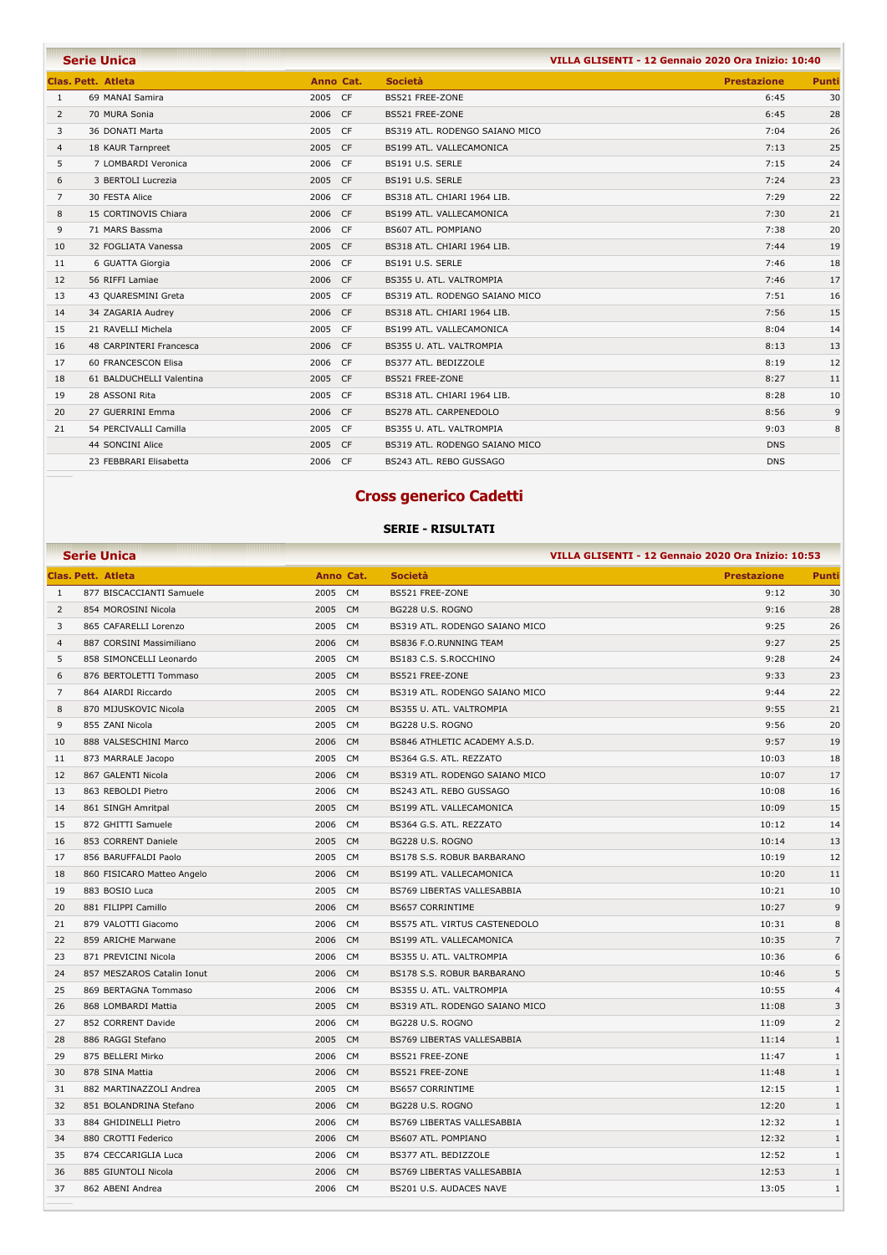|                | <b>Serie Unica</b>       |                   | VILLA GLISENTI - 12 Gennaio 2020 Ora Inizio: 10:40 |                    |              |  |
|----------------|--------------------------|-------------------|----------------------------------------------------|--------------------|--------------|--|
|                | Clas, Pett. Atleta       | Anno Cat.         | <b>Società</b>                                     | <b>Prestazione</b> | <b>Punti</b> |  |
| $\mathbf{1}$   | 69 MANAI Samira          | 2005 CF           | BS521 FREE-ZONE                                    | 6:45               | 30           |  |
| 2              | 70 MURA Sonia            | 2006 CF           | BS521 FREE-ZONE                                    | 6:45               | 28           |  |
| 3              | 36 DONATI Marta          | 2005 CF           | BS319 ATL. RODENGO SAIANO MICO                     | 7:04               | 26           |  |
| 4              | 18 KAUR Tarnpreet        | 2005 CF           | BS199 ATL. VALLECAMONICA                           | 7:13               | 25           |  |
| 5              | 7 LOMBARDI Veronica      | 2006 CF           | BS191 U.S. SERLE                                   | 7:15               | 24           |  |
| 6              | 3 BERTOLI Lucrezia       | 2005 CF           | BS191 U.S. SERLE                                   | 7:24               | 23           |  |
| $\overline{7}$ | 30 FESTA Alice           | 2006 CF           | BS318 ATL. CHIARI 1964 LIB.                        | 7:29               | 22           |  |
| 8              | 15 CORTINOVIS Chiara     | 2006 CF           | BS199 ATL. VALLECAMONICA                           | 7:30               | 21           |  |
| 9              | 71 MARS Bassma           | 2006 CF           | BS607 ATL. POMPIANO                                | 7:38               | 20           |  |
| 10             | 32 FOGLIATA Vanessa      | 2005 CF           | BS318 ATL. CHIARI 1964 LIB.                        | 7:44               | 19           |  |
| 11             | 6 GUATTA Giorgia         | 2006 CF           | BS191 U.S. SERLE                                   | 7:46               | 18           |  |
| 12             | 56 RIFFI Lamiae          | 2006 CF           | BS355 U. ATL. VALTROMPIA                           | 7:46               | 17           |  |
| 13             | 43 QUARESMINI Greta      | 2005 CF           | BS319 ATL. RODENGO SAIANO MICO                     | 7:51               | 16           |  |
| 14             | 34 ZAGARIA Audrey        | 2006 CF           | BS318 ATL. CHIARI 1964 LIB.                        | 7:56               | 15           |  |
| 15             | 21 RAVELLI Michela       | 2005 CF           | BS199 ATL. VALLECAMONICA                           | 8:04               | 14           |  |
| 16             | 48 CARPINTERI Francesca  | 2006<br><b>CF</b> | BS355 U. ATL. VALTROMPIA                           | 8:13               | 13           |  |
| 17             | 60 FRANCESCON Elisa      | 2006 CF           | BS377 ATL. BEDIZZOLE                               | 8:19               | 12           |  |
| 18             | 61 BALDUCHELLI Valentina | 2005 CF           | BS521 FREE-ZONE                                    | 8:27               | 11           |  |
| 19             | 28 ASSONI Rita           | 2005 CF           | BS318 ATL. CHIARI 1964 LIB.                        | 8:28               | 10           |  |
| 20             | 27 GUERRINI Emma         | 2006 CF           | BS278 ATL. CARPENEDOLO                             | 8:56               | 9            |  |
| 21             | 54 PERCIVALLI Camilla    | 2005 CF           | BS355 U. ATL. VALTROMPIA                           | 9:03               | 8            |  |
|                | 44 SONCINI Alice         | 2005 CF           | BS319 ATL. RODENGO SAIANO MICO                     | <b>DNS</b>         |              |  |
|                | 23 FEBBRARI Elisabetta   | 2006 CF           | BS243 ATL, REBO GUSSAGO                            | <b>DNS</b>         |              |  |

### **Cross generico Cadetti**

|                | <b>Serie Unica</b>         |         |           | VILLA GLISENTI - 12 Gennaio 2020 Ora Inizio: 10:53 |                    |                |
|----------------|----------------------------|---------|-----------|----------------------------------------------------|--------------------|----------------|
|                | <b>Clas. Pett. Atleta</b>  |         | Anno Cat. | <b>Società</b>                                     | <b>Prestazione</b> | Punti          |
| 1              | 877 BISCACCIANTI Samuele   | 2005 CM |           | BS521 FREE-ZONE                                    | 9:12               | 30             |
| 2              | 854 MOROSINI Nicola        | 2005 CM |           | BG228 U.S. ROGNO                                   | 9:16               | 28             |
| 3              | 865 CAFARELLI Lorenzo      | 2005    | <b>CM</b> | BS319 ATL. RODENGO SAIANO MICO                     | 9:25               | 26             |
| $\overline{4}$ | 887 CORSINI Massimiliano   | 2006    | <b>CM</b> | <b>BS836 F.O.RUNNING TEAM</b>                      | 9:27               | 25             |
| 5              | 858 SIMONCELLI Leonardo    | 2005    | <b>CM</b> | BS183 C.S. S.ROCCHINO                              | 9:28               | 24             |
| 6              | 876 BERTOLETTI Tommaso     | 2005    | <b>CM</b> | BS521 FREE-ZONE                                    | 9:33               | 23             |
| $\overline{7}$ | 864 AIARDI Riccardo        | 2005    | <b>CM</b> | BS319 ATL. RODENGO SAIANO MICO                     | 9:44               | 22             |
| 8              | 870 MIJUSKOVIC Nicola      | 2005    | CM        | BS355 U. ATL. VALTROMPIA                           | 9:55               | 21             |
| 9              | 855 ZANI Nicola            | 2005    | <b>CM</b> | BG228 U.S. ROGNO                                   | 9:56               | 20             |
| 10             | 888 VALSESCHINI Marco      | 2006 CM |           | BS846 ATHLETIC ACADEMY A.S.D.                      | 9:57               | 19             |
| 11             | 873 MARRALE Jacopo         | 2005    | <b>CM</b> | BS364 G.S. ATL. REZZATO                            | 10:03              | 18             |
| 12             | 867 GALENTI Nicola         | 2006 CM |           | BS319 ATL. RODENGO SAIANO MICO                     | 10:07              | 17             |
| 13             | 863 REBOLDI Pietro         | 2006    | CM        | BS243 ATL. REBO GUSSAGO                            | 10:08              | 16             |
| 14             | 861 SINGH Amritpal         | 2005    | <b>CM</b> | BS199 ATL. VALLECAMONICA                           | 10:09              | 15             |
| 15             | 872 GHITTI Samuele         | 2006    | <b>CM</b> | BS364 G.S. ATL. REZZATO                            | 10:12              | 14             |
| 16             | 853 CORRENT Daniele        | 2005    | <b>CM</b> | BG228 U.S. ROGNO                                   | 10:14              | 13             |
| 17             | 856 BARUFFALDI Paolo       | 2005    | <b>CM</b> | BS178 S.S. ROBUR BARBARANO                         | 10:19              | 12             |
| 18             | 860 FISICARO Matteo Angelo | 2006 CM |           | BS199 ATL. VALLECAMONICA                           | 10:20              | 11             |
| 19             | 883 BOSIO Luca             | 2005 CM |           | BS769 LIBERTAS VALLESABBIA                         | 10:21              | 10             |
| 20             | 881 FILIPPI Camillo        | 2006    | CM        | <b>BS657 CORRINTIME</b>                            | 10:27              | 9              |
| 21             | 879 VALOTTI Giacomo        | 2006 CM |           | BS575 ATL. VIRTUS CASTENEDOLO                      | 10:31              | 8              |
| 22             | 859 ARICHE Marwane         | 2006 CM |           | BS199 ATL. VALLECAMONICA                           | 10:35              | $\overline{7}$ |
| 23             | 871 PREVICINI Nicola       | 2006 CM |           | BS355 U. ATL. VALTROMPIA                           | 10:36              | 6              |
| 24             | 857 MESZAROS Catalin Ionut | 2006 CM |           | BS178 S.S. ROBUR BARBARANO                         | 10:46              | 5              |
| 25             | 869 BERTAGNA Tommaso       | 2006    | CM        | BS355 U. ATL. VALTROMPIA                           | 10:55              | $\overline{4}$ |
| 26             | 868 LOMBARDI Mattia        | 2005    | <b>CM</b> | BS319 ATL. RODENGO SAIANO MICO                     | 11:08              | 3              |
| 27             | 852 CORRENT Davide         | 2006    | <b>CM</b> | BG228 U.S. ROGNO                                   | 11:09              | $\overline{2}$ |
| 28             | 886 RAGGI Stefano          | 2005    | <b>CM</b> | BS769 LIBERTAS VALLESABBIA                         | 11:14              | $\mathbf{1}$   |
| 29             | 875 BELLERI Mirko          | 2006    | <b>CM</b> | BS521 FREE-ZONE                                    | 11:47              | $1\,$          |
| 30             | 878 SINA Mattia            | 2006 CM |           | BS521 FREE-ZONE                                    | 11:48              | $\mathbf{1}$   |
| 31             | 882 MARTINAZZOLI Andrea    | 2005    | <b>CM</b> | <b>BS657 CORRINTIME</b>                            | 12:15              | $\mathbf{1}$   |
| 32             | 851 BOLANDRINA Stefano     | 2006    | <b>CM</b> | BG228 U.S. ROGNO                                   | 12:20              | $\mathbf{1}$   |
| 33             | 884 GHIDINELLI Pietro      | 2006    | <b>CM</b> | BS769 LIBERTAS VALLESABBIA                         | 12:32              | $1\,$          |
| 34             | 880 CROTTI Federico        | 2006    | <b>CM</b> | BS607 ATL. POMPIANO                                | 12:32              | $\mathbf{1}$   |
| 35             | 874 CECCARIGLIA Luca       | 2006 CM |           | BS377 ATL. BEDIZZOLE                               | 12:52              | $1\,$          |
| 36             | 885 GIUNTOLI Nicola        | 2006 CM |           | BS769 LIBERTAS VALLESABBIA                         | 12:53              | $\mathbf{1}$   |
| 37             | 862 ABENI Andrea           | 2006 CM |           | BS201 U.S. AUDACES NAVE                            | 13:05              | $\mathbf{1}$   |